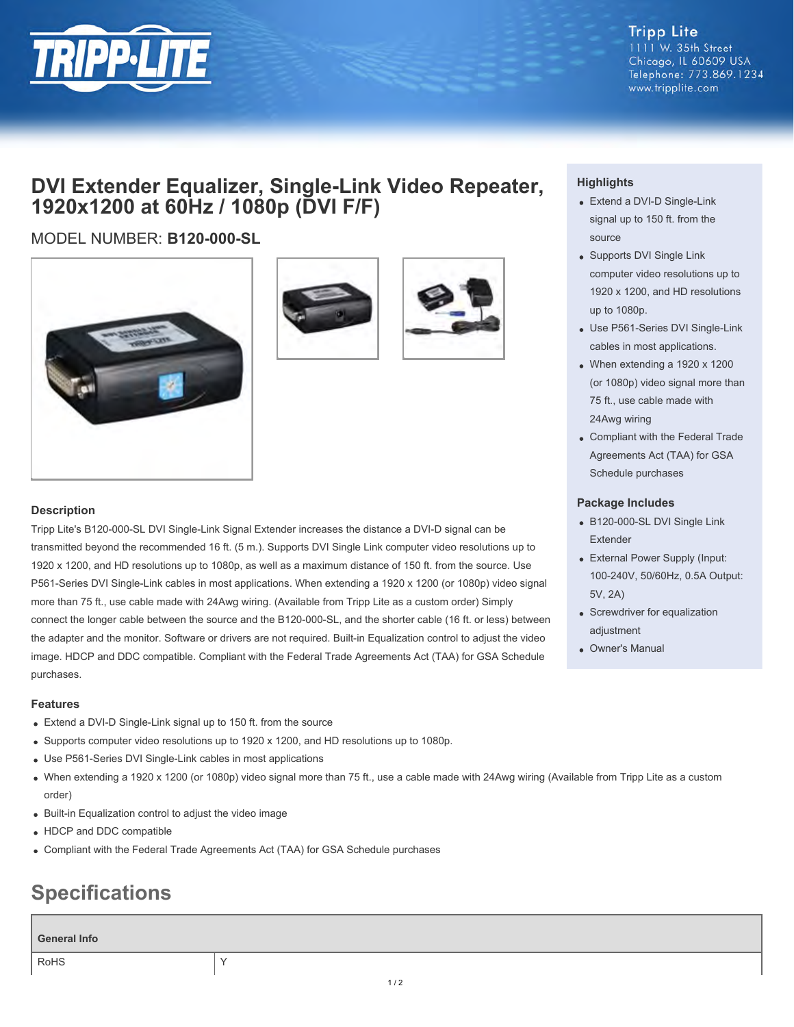

## **DVI Extender Equalizer, Single-Link Video Repeater, 1920x1200 at 60Hz / 1080p (DVI F/F)**

### MODEL NUMBER: **B120-000-SL**





### **Description**

Tripp Lite's B120-000-SL DVI Single-Link Signal Extender increases the distance a DVI-D signal can be transmitted beyond the recommended 16 ft. (5 m.). Supports DVI Single Link computer video resolutions up to 1920 x 1200, and HD resolutions up to 1080p, as well as a maximum distance of 150 ft. from the source. Use P561-Series DVI Single-Link cables in most applications. When extending a 1920 x 1200 (or 1080p) video signal more than 75 ft., use cable made with 24Awg wiring. (Available from Tripp Lite as a custom order) Simply connect the longer cable between the source and the B120-000-SL, and the shorter cable (16 ft. or less) between the adapter and the monitor. Software or drivers are not required. Built-in Equalization control to adjust the video image. HDCP and DDC compatible. Compliant with the Federal Trade Agreements Act (TAA) for GSA Schedule purchases.

### **Features**

- Extend a DVI-D Single-Link signal up to 150 ft. from the source
- Supports computer video resolutions up to 1920 x 1200, and HD resolutions up to 1080p.
- Use P561-Series DVI Single-Link cables in most applications
- When extending a 1920 x 1200 (or 1080p) video signal more than 75 ft., use a cable made with 24Awg wiring (Available from Tripp Lite as a custom order)
- Built-in Equalization control to adjust the video image
- HDCP and DDC compatible
- Compliant with the Federal Trade Agreements Act (TAA) for GSA Schedule purchases

# **Specifications**

### **General Info**

RoHS **Y** 

### **Highlights**

- Extend a DVI-D Single-Link signal up to 150 ft. from the source
- Supports DVI Single Link computer video resolutions up to 1920 x 1200, and HD resolutions up to 1080p.
- Use P561-Series DVI Single-Link cables in most applications.
- When extending a 1920 x 1200 (or 1080p) video signal more than 75 ft., use cable made with 24Awg wiring
- Compliant with the Federal Trade Agreements Act (TAA) for GSA Schedule purchases

### **Package Includes**

- B120-000-SL DVI Single Link Extender
- External Power Supply (Input: 100-240V, 50/60Hz, 0.5A Output: 5V, 2A)
- Screwdriver for equalization adiustment
- Owner's Manual